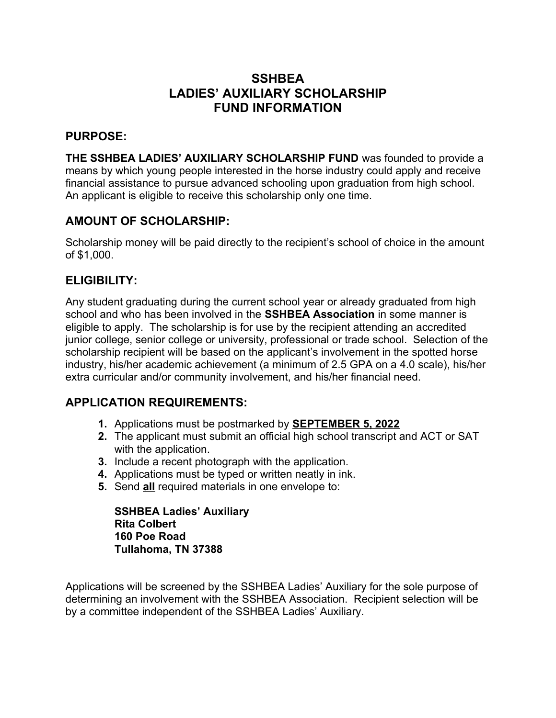# **SSHBEA LADIES' AUXILIARY SCHOLARSHIP FUND INFORMATION**

#### **PURPOSE:**

**THE SSHBEA LADIES' AUXILIARY SCHOLARSHIP FUND** was founded to provide a means by which young people interested in the horse industry could apply and receive financial assistance to pursue advanced schooling upon graduation from high school. An applicant is eligible to receive this scholarship only one time.

## **AMOUNT OF SCHOLARSHIP:**

Scholarship money will be paid directly to the recipient's school of choice in the amount of \$1,000.

## **ELIGIBILITY:**

Any student graduating during the current school year or already graduated from high school and who has been involved in the **SSHBEA Association** in some manner is eligible to apply. The scholarship is for use by the recipient attending an accredited junior college, senior college or university, professional or trade school. Selection of the scholarship recipient will be based on the applicant's involvement in the spotted horse industry, his/her academic achievement (a minimum of 2.5 GPA on a 4.0 scale), his/her extra curricular and/or community involvement, and his/her financial need.

## **APPLICATION REQUIREMENTS:**

- **1.** Applications must be postmarked by **SEPTEMBER 5, 2022**
- **2.** The applicant must submit an official high school transcript and ACT or SAT with the application.
- **3.** Include a recent photograph with the application.
- **4.** Applications must be typed or written neatly in ink.
- **5.** Send **all** required materials in one envelope to:

**SSHBEA Ladies' Auxiliary Rita Colbert 160 Poe Road Tullahoma, TN 37388**

Applications will be screened by the SSHBEA Ladies' Auxiliary for the sole purpose of determining an involvement with the SSHBEA Association. Recipient selection will be by a committee independent of the SSHBEA Ladies' Auxiliary.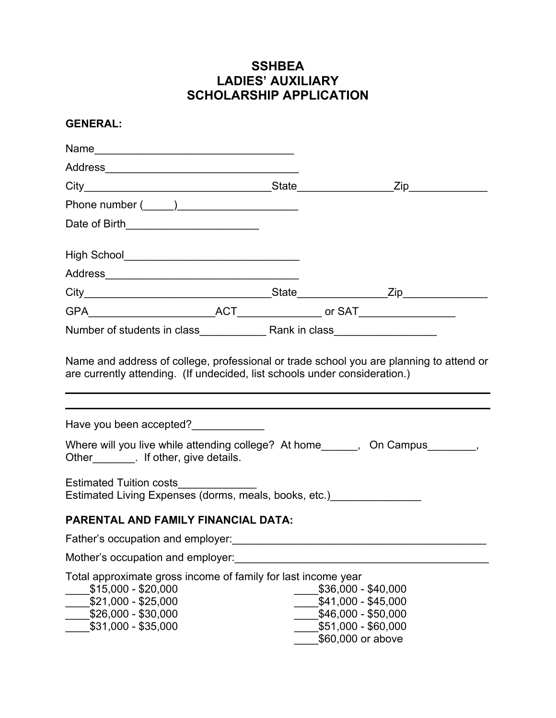# **SSHBEA LADIES' AUXILIARY SCHOLARSHIP APPLICATION**

#### **GENERAL:**

| Date of Birth___________________________                                                                                                                  |  |                                                                                                               |
|-----------------------------------------------------------------------------------------------------------------------------------------------------------|--|---------------------------------------------------------------------------------------------------------------|
| High School__________________________________                                                                                                             |  |                                                                                                               |
|                                                                                                                                                           |  |                                                                                                               |
|                                                                                                                                                           |  |                                                                                                               |
|                                                                                                                                                           |  |                                                                                                               |
|                                                                                                                                                           |  |                                                                                                               |
| Have you been accepted?                                                                                                                                   |  |                                                                                                               |
| Where will you live while attending college? At home______, On Campus_______,<br>Other _________. If other, give details.                                 |  |                                                                                                               |
| <b>Estimated Tuition costs</b><br>Estimated Living Expenses (dorms, meals, books, etc.)                                                                   |  |                                                                                                               |
| PARENTAL AND FAMILY FINANCIAL DATA:                                                                                                                       |  |                                                                                                               |
| Father's occupation and employer:<br>Father's occupation and employer:                                                                                    |  |                                                                                                               |
| Mother's occupation and employer:                                                                                                                         |  |                                                                                                               |
| Total approximate gross income of family for last income year<br>$$15,000 - $20,000$<br>\$21,000 - \$25,000<br>\$26,000 - \$30,000<br>\$31,000 - \$35,000 |  | \$36,000 - \$40,000<br>\$41,000 - \$45,000<br>\$46,000 - \$50,000<br>\$51,000 - \$60,000<br>\$60,000 or above |